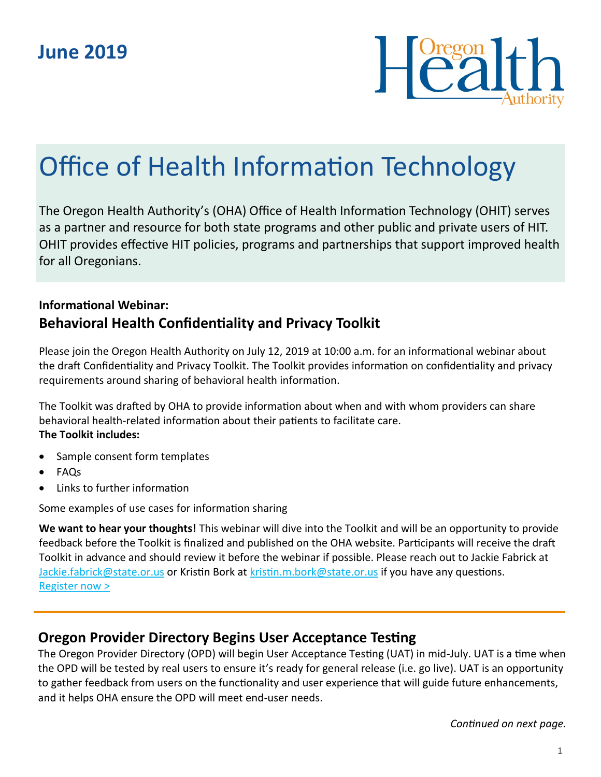

# Office of Health Information Technology

The Oregon Health Authority's (OHA) Office of Health Information Technology (OHIT) serves as a partner and resource for both state programs and other public and private users of HIT. OHIT provides effective HIT policies, programs and partnerships that support improved health for all Oregonians.

## **Informational Webinar: Behavioral Health Confidentiality and Privacy Toolkit**

Please join the Oregon Health Authority on July 12, 2019 at 10:00 a.m. for an informational webinar about the draft Confidentiality and Privacy Toolkit. The Toolkit provides information on confidentiality and privacy requirements around sharing of behavioral health information.

The Toolkit was drafted by OHA to provide information about when and with whom providers can share behavioral health-related information about their patients to facilitate care. **The Toolkit includes:**

- Sample consent form templates
- FAQs
- Links to further information

Some examples of use cases for information sharing

**We want to hear your thoughts!** This webinar will dive into the Toolkit and will be an opportunity to provide feedback before the Toolkit is finalized and published on the OHA website. Participants will receive the draft Toolkit in advance and should review it before the webinar if possible. Please reach out to Jackie Fabrick at [Jackie.fabrick@state.or.us](mailto:Jackie.fabrick@state.or.us) or Kristin Bork at [kristin.m.bork@state.or.us](mailto:kristin.m.bork@state.or.us) if you have any questions. [Register now >](https://attendee.gotowebinar.com/register/4519438491538729227)

## **Oregon Provider Directory Begins User Acceptance Testing**

The Oregon Provider Directory (OPD) will begin User Acceptance Testing (UAT) in mid-July. UAT is a time when the OPD will be tested by real users to ensure it's ready for general release (i.e. go live). UAT is an opportunity to gather feedback from users on the functionality and user experience that will guide future enhancements, and it helps OHA ensure the OPD will meet end-user needs.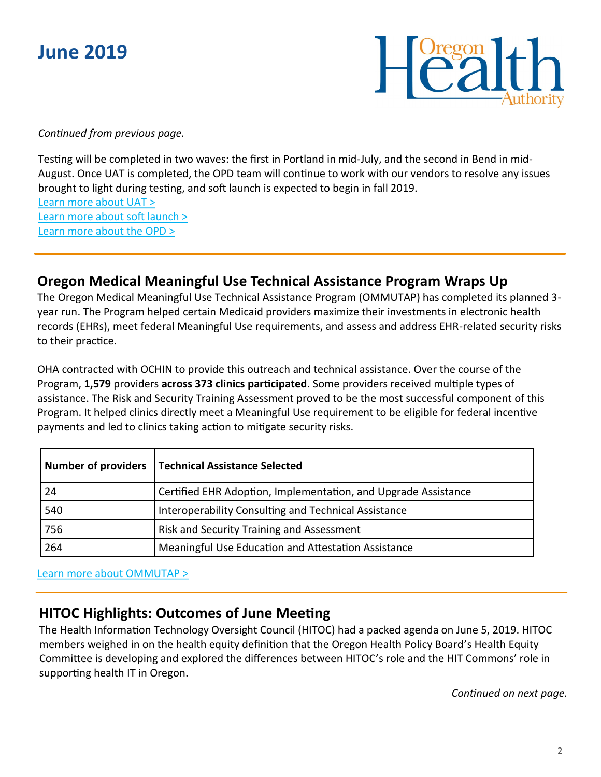



*Continued from previous page.*

Testing will be completed in two waves: the first in Portland in mid-July, and the second in Bend in mid-August. Once UAT is completed, the OPD team will continue to work with our vendors to resolve any issues brought to light during testing, and soft launch is expected to begin in fall 2019. [Learn more about UAT >](https://www.oregon.gov/oha/HPA/OHIT/Documents/OPD_UATOverview_Final.pdf) [Learn more about soft launch >](https://www.oregon.gov/oha/HPA/OHIT/Documents/OPD_SoftLaunch_Final.pdf)

[Learn more about the OPD >](https://www.oregon.gov/oha/HPA/OHIT/Pages/PD-Overview.aspx)

## **Oregon Medical Meaningful Use Technical Assistance Program Wraps Up**

The Oregon Medical Meaningful Use Technical Assistance Program (OMMUTAP) has completed its planned 3 year run. The Program helped certain Medicaid providers maximize their investments in electronic health records (EHRs), meet federal Meaningful Use requirements, and assess and address EHR-related security risks to their practice.

OHA contracted with OCHIN to provide this outreach and technical assistance. Over the course of the Program, **1,579** providers **across 373 clinics participated**. Some providers received multiple types of assistance. The Risk and Security Training Assessment proved to be the most successful component of this Program. It helped clinics directly meet a Meaningful Use requirement to be eligible for federal incentive payments and led to clinics taking action to mitigate security risks.

|     | Number of providers   Technical Assistance Selected            |
|-----|----------------------------------------------------------------|
| 24  | Certified EHR Adoption, Implementation, and Upgrade Assistance |
| 540 | Interoperability Consulting and Technical Assistance           |
| 756 | Risk and Security Training and Assessment                      |
| 264 | Meaningful Use Education and Attestation Assistance            |

[Learn more about OMMUTAP >](https://www.oregon.gov/oha/HPA/OHIT/pages/meaningful-use-technical-assistance.aspx)

## **HITOC Highlights: Outcomes of June Meeting**

The Health Information Technology Oversight Council (HITOC) had a packed agenda on June 5, 2019. HITOC members weighed in on the health equity definition that the Oregon Health Policy Board's Health Equity Committee is developing and explored the differences between HITOC's role and the HIT Commons' role in supporting health IT in Oregon.

*Continued on next page.*